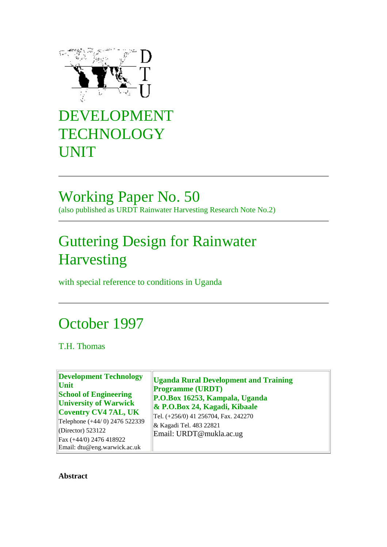

# DEVELOPMENT **TECHNOLOGY** UNIT

### Working Paper No. 50 (also published as URDT Rainwater Harvesting Research Note No.2)

# Guttering Design for Rainwater Harvesting

with special reference to conditions in Uganda

## October 1997

T.H. Thomas

**Development Technology Unit School of Engineering University of Warwick Coventry CV4 7AL, UK** Telephone (+44/ 0) 2476 522339 (Director) 523122 Fax (+44/0) 2476 418922 Email: dtu@eng.warwick.ac.uk

**Uganda Rural Development and Training Programme (URDT) P.O.Box 16253, Kampala, Uganda & P.O.Box 24, Kagadi, Kibaale** Tel. (+256/0) 41 256704, Fax. 242270 & Kagadi Tel. 483 22821 Email: URDT@mukla.ac.ug

<span id="page-0-0"></span>**Abstract**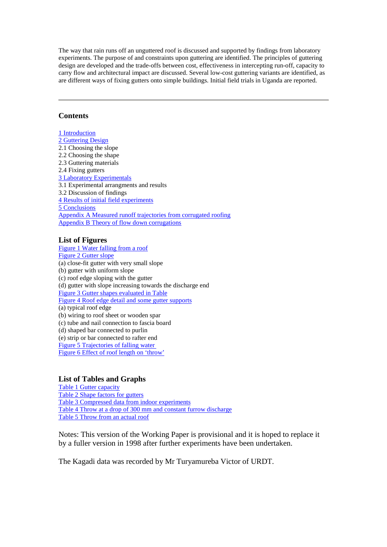The way that rain runs off an unguttered roof is discussed and supported by findings from laboratory experiments. The purpose of and constraints upon guttering are identified. The principles of guttering design are developed and the trade-offs between cost, effectiveness in intercepting run-off, capacity to carry flow and architectural impact are discussed. Several low-cost guttering variants are identified, as are different ways of fixing gutters onto simple buildings. Initial field trials in Uganda are reported.

#### **Contents**

[1 Introduction](#page-2-0) [2 Guttering Design](#page-5-0) 2.1 Choosing the slope 2.2 Choosing the shape 2.3 Guttering materials 2.4 Fixing gutters [3 Laboratory Experimentals](#page-12-0) 3.1 Experimental arrangments and results 3.2 Discussion of findings [4 Results of initial field experiments](#page-18-0) [5 Conclusions](#page-19-0) [Appendix A Measured runoff trajectories from corrugated roofing](#page-4-0) [Appendix B Theory of flow down corrugations](#page-4-0)

#### **List of Figures**

[Figure 1 Water falling from a roof](#page-4-0) [Figure 2 Gutter slope](#page-5-1) (a) close-fit gutter with very small slope (b) gutter with uniform slope (c) roof edge sloping with the gutter (d) gutter with slope increasing towards the discharge end [Figure 3 Gutter shapes evaluated in Table](#page-8-0) [Figure 4 Roof edge detail and some gutter supports](#page-12-1) (a) typical roof edge (b) wiring to roof sheet or wooden spar (c) tube and nail connection to fascia board (d) shaped bar connected to purlin (e) strip or bar connected to rafter end [Figure 5 Trajectories of falling water](#page-16-0) [Figure 6 Effect of roof length on 'throw'](#page-17-0)

#### **List of Tables and Graphs**

[Table 1 Gutter capacity](#page-6-0) [Table 2 Shape factors for gutters](#page-8-1) [Table 3 Compressed data from indoor experiments](#page-13-0) [Table 4 Throw at a drop of 300 mm and constant furrow discharge](#page-16-1) Table 5 [Throw from an actual roof](#page-18-1)

Notes: This version of the Working Paper is provisional and it is hoped to replace it by a fuller version in 1998 after further experiments have been undertaken.

The Kagadi data was recorded by Mr Turyamureba Victor of URDT.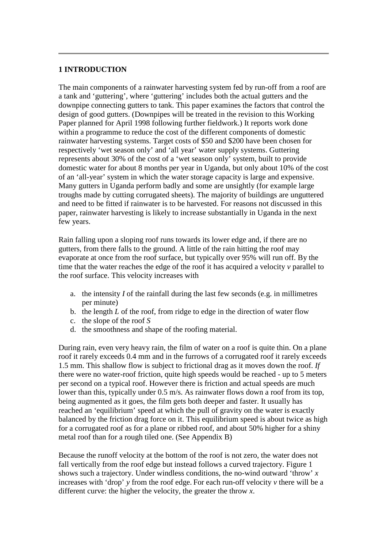#### <span id="page-2-0"></span>**1 INTRODUCTION**

The main components of a rainwater harvesting system fed by run-off from a roof are a tank and 'guttering', where 'guttering' includes both the actual gutters and the downpipe connecting gutters to tank. This paper examines the factors that control the design of good gutters. (Downpipes will be treated in the revision to this Working Paper planned for April 1998 following further fieldwork.) It reports work done within a programme to reduce the cost of the different components of domestic rainwater harvesting systems. Target costs of \$50 and \$200 have been chosen for respectively 'wet season only' and 'all year' water supply systems. Guttering represents about 30% of the cost of a 'wet season only' system, built to provide domestic water for about 8 months per year in Uganda, but only about 10% of the cost of an 'all-year' system in which the water storage capacity is large and expensive. Many gutters in Uganda perform badly and some are unsightly (for example large troughs made by cutting corrugated sheets). The majority of buildings are unguttered and need to be fitted if rainwater is to be harvested. For reasons not discussed in this paper, rainwater harvesting is likely to increase substantially in Uganda in the next few years.

Rain falling upon a sloping roof runs towards its lower edge and, if there are no gutters, from there falls to the ground. A little of the rain hitting the roof may evaporate at once from the roof surface, but typically over 95% will run off. By the time that the water reaches the edge of the roof it has acquired a velocity *v* parallel to the roof surface. This velocity increases with

- a. the intensity *I* of the rainfall during the last few seconds (e.g. in millimetres per minute)
- b. the length *L* of the roof, from ridge to edge in the direction of water flow
- c. the slope of the roof *S*
- d. the smoothness and shape of the roofing material.

During rain, even very heavy rain, the film of water on a roof is quite thin. On a plane roof it rarely exceeds 0.4 mm and in the furrows of a corrugated roof it rarely exceeds 1.5 mm. This shallow flow is subject to frictional drag as it moves down the roof. *If* there were no water-roof friction, quite high speeds would be reached - up to 5 meters per second on a typical roof. However there is friction and actual speeds are much lower than this, typically under 0.5 m/s. As rainwater flows down a roof from its top, being augmented as it goes, the film gets both deeper and faster. It usually has reached an 'equilibrium' speed at which the pull of gravity on the water is exactly balanced by the friction drag force on it. This equilibrium speed is about twice as high for a corrugated roof as for a plane or ribbed roof, and about 50% higher for a shiny metal roof than for a rough tiled one. (See Appendix B)

Because the runoff velocity at the bottom of the roof is not zero, the water does not fall vertically from the roof edge but instead follows a curved trajectory. Figure 1 shows such a trajectory. Under windless conditions, the no-wind outward 'throw' *x* increases with 'drop' *y* from the roof edge. For each run-off velocity *v* there will be a different curve: the higher the velocity, the greater the throw *x*.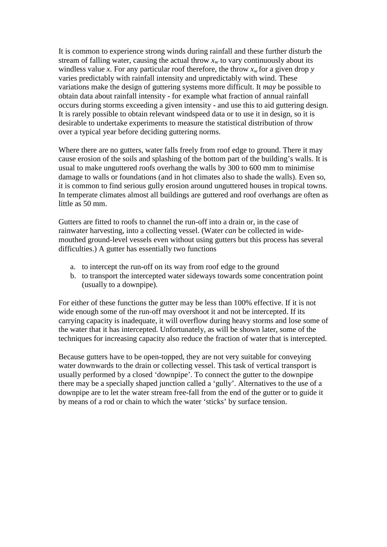It is common to experience strong winds during rainfall and these further disturb the stream of falling water, causing the actual throw  $x_w$  to vary continuously about its windless value *x*. For any particular roof therefore, the throw  $x_w$  for a given drop  $y$ varies predictably with rainfall intensity and unpredictably with wind. These variations make the design of guttering systems more difficult. It *may* be possible to obtain data about rainfall intensity - for example what fraction of annual rainfall occurs during storms exceeding a given intensity - and use this to aid guttering design. It is rarely possible to obtain relevant windspeed data or to use it in design, so it is desirable to undertake experiments to measure the statistical distribution of throw over a typical year before deciding guttering norms.

Where there are no gutters, water falls freely from roof edge to ground. There it may cause erosion of the soils and splashing of the bottom part of the building's walls. It is usual to make unguttered roofs overhang the walls by 300 to 600 mm to minimise damage to walls or foundations (and in hot climates also to shade the walls). Even so, it is common to find serious gully erosion around unguttered houses in tropical towns. In temperate climates almost all buildings are guttered and roof overhangs are often as little as 50 mm.

Gutters are fitted to roofs to channel the run-off into a drain or, in the case of rainwater harvesting, into a collecting vessel. (Water *can* be collected in widemouthed ground-level vessels even without using gutters but this process has several difficulties.) A gutter has essentially two functions

- a. to intercept the run-off on its way from roof edge to the ground
- b. to transport the intercepted water sideways towards some concentration point (usually to a downpipe).

For either of these functions the gutter may be less than 100% effective. If it is not wide enough some of the run-off may overshoot it and not be intercepted. If its carrying capacity is inadequate, it will overflow during heavy storms and lose some of the water that it has intercepted. Unfortunately, as will be shown later, some of the techniques for increasing capacity also reduce the fraction of water that is intercepted.

<span id="page-3-0"></span>Because gutters have to be open-topped, they are not very suitable for conveying water downwards to the drain or collecting vessel. This task of vertical transport is usually performed by a closed 'downpipe'. To connect the gutter to the downpipe there may be a specially shaped junction called a 'gully'. Alternatives to the use of a downpipe are to let the water stream free-fall from the end of the gutter or to guide it by means of a rod or chain to which the water 'sticks' by surface tension.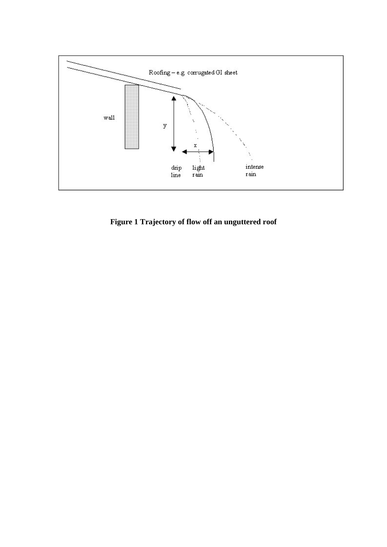<span id="page-4-0"></span>

**Figure 1 Trajectory of flow off an unguttered roof**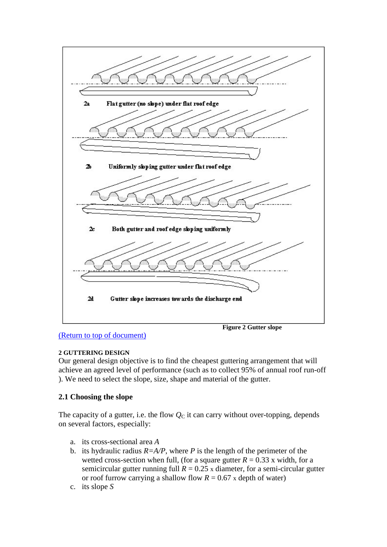<span id="page-5-1"></span>

<span id="page-5-0"></span>[\(Return to top of document\)](#page-3-0)

#### **2 GUTTERING DESIGN**

Our general design objective is to find the cheapest guttering arrangement that will achieve an agreed level of performance (such as to collect 95% of annual roof run-off ). We need to select the slope, size, shape and material of the gutter.

#### **2.1 Choosing the slope**

The capacity of a gutter, i.e. the flow  $Q<sub>C</sub>$  it can carry without over-topping, depends on several factors, especially:

- a. its cross-sectional area *A*
- b. its hydraulic radius  $R = A/P$ , where *P* is the length of the perimeter of the wetted cross-section when full, (for a square gutter  $R = 0.33$  x width, for a semicircular gutter running full  $R = 0.25$  x diameter, for a semi-circular gutter or roof furrow carrying a shallow flow  $R = 0.67$  x depth of water)
- c. its slope *S*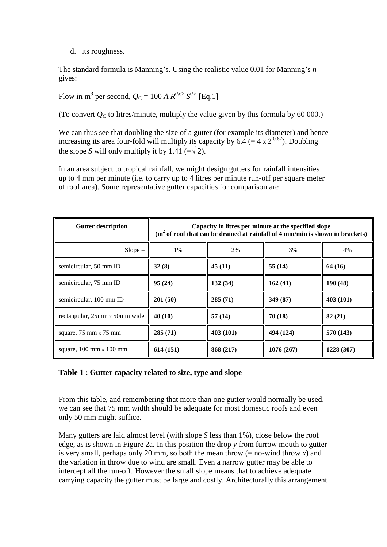d. its roughness.

The standard formula is Manning's. Using the realistic value 0.01 for Manning's *n* gives:

Flow in m<sup>3</sup> per second,  $Q_C = 100 A R^{0.67} S^{0.5}$  [Eq.1]

(To convert  $Q_C$  to litres/minute, multiply the value given by this formula by 60 000.)

We can thus see that doubling the size of a gutter (for example its diameter) and hence increasing its area four-fold will multiply its capacity by 6.4 (= 4 x 2<sup>0.67</sup>). Doubling the slope *S* will only multiply it by 1.41 (= $\sqrt{2}$ ).

In an area subject to tropical rainfall, we might design gutters for rainfall intensities up to 4 mm per minute (i.e. to carry up to 4 litres per minute run-off per square meter of roof area). Some representative gutter capacities for comparison are

<span id="page-6-0"></span>

| <b>Gutter description</b>                      | Capacity in litres per minute at the specified slope<br>$(m2$ of roof that can be drained at rainfall of 4 mm/min is shown in brackets) |           |            |            |  |  |  |  |  |
|------------------------------------------------|-----------------------------------------------------------------------------------------------------------------------------------------|-----------|------------|------------|--|--|--|--|--|
| $Slope =$                                      | 1%                                                                                                                                      | 2%        | 3%         | 4%         |  |  |  |  |  |
| semicircular, 50 mm ID                         | 32(8)                                                                                                                                   | 45(11)    | 55(14)     | 64 (16)    |  |  |  |  |  |
| semicircular, 75 mm ID                         | 95(24)                                                                                                                                  | 132(34)   | 162(41)    | 190(48)    |  |  |  |  |  |
| semicircular, 100 mm ID                        | 201(50)                                                                                                                                 | 285(71)   | 349 (87)   | 403 (101)  |  |  |  |  |  |
| rectangular, 25mm x 50mm wide                  | 40 (10)                                                                                                                                 | 57(14)    | 70 (18)    | 82(21)     |  |  |  |  |  |
| square, $75 \text{ mm} \times 75 \text{ mm}$   | 285(71)                                                                                                                                 | 403 (101) | 494 (124)  | 570 (143)  |  |  |  |  |  |
| square, $100 \text{ mm} \times 100 \text{ mm}$ | 614(151)                                                                                                                                | 868 (217) | 1076 (267) | 1228 (307) |  |  |  |  |  |

#### **Table 1 : Gutter capacity related to size, type and slope**

From this table, and remembering that more than one gutter would normally be used, we can see that 75 mm width should be adequate for most domestic roofs and even only 50 mm might suffice.

Many gutters are laid almost level (with slope *S* less than 1%), close below the roof edge, as is shown in Figure 2a. In this position the drop *y* from furrow mouth to gutter is very small, perhaps only 20 mm, so both the mean throw  $(= no$ -wind throw  $x)$  and the variation in throw due to wind are small. Even a narrow gutter may be able to intercept all the run-off. However the small slope means that to achieve adequate carrying capacity the gutter must be large and costly. Architecturally this arrangement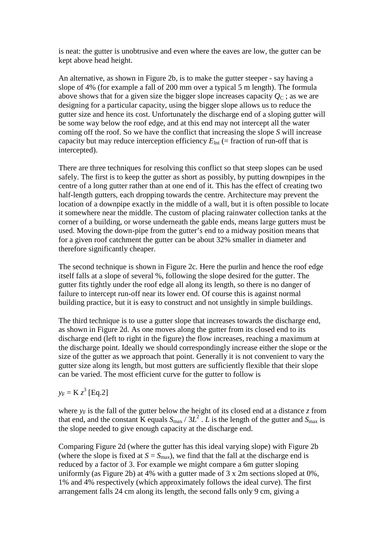is neat: the gutter is unobtrusive and even where the eaves are low, the gutter can be kept above head height.

An alternative, as shown in Figure 2b, is to make the gutter steeper - say having a slope of 4% (for example a fall of 200 mm over a typical 5 m length). The formula above shows that for a given size the bigger slope increases capacity  $O<sub>C</sub>$ ; as we are designing for a particular capacity, using the bigger slope allows us to reduce the gutter size and hence its cost. Unfortunately the discharge end of a sloping gutter will be some way below the roof edge, and at this end may not intercept all the water coming off the roof. So we have the conflict that increasing the slope *S* will increase capacity but may reduce interception efficiency  $E_{\text{Int}}$  (= fraction of run-off that is intercepted).

There are three techniques for resolving this conflict so that steep slopes can be used safely. The first is to keep the gutter as short as possibly, by putting downpipes in the centre of a long gutter rather than at one end of it. This has the effect of creating two half-length gutters, each dropping towards the centre. Architecture may prevent the location of a downpipe exactly in the middle of a wall, but it is often possible to locate it somewhere near the middle. The custom of placing rainwater collection tanks at the corner of a building, or worse underneath the gable ends, means large gutters must be used. Moving the down-pipe from the gutter's end to a midway position means that for a given roof catchment the gutter can be about 32% smaller in diameter and therefore significantly cheaper.

The second technique is shown in Figure 2c. Here the purlin and hence the roof edge itself falls at a slope of several %, following the slope desired for the gutter. The gutter fits tightly under the roof edge all along its length, so there is no danger of failure to intercept run-off near its lower end. Of course this is against normal building practice, but it is easy to construct and not unsightly in simple buildings.

The third technique is to use a gutter slope that increases towards the discharge end, as shown in Figure 2d. As one moves along the gutter from its closed end to its discharge end (left to right in the figure) the flow increases, reaching a maximum at the discharge point. Ideally we should correspondingly increase either the slope or the size of the gutter as we approach that point. Generally it is not convenient to vary the gutter size along its length, but most gutters are sufficiently flexible that their slope can be varied. The most efficient curve for the gutter to follow is

### $y_F = K z^3$  [Eq.2]

where  $y_F$  is the fall of the gutter below the height of its closed end at a distance *z* from that end, and the constant K equals  $S_{\text{max}}/3L^2$ . *L* is the length of the gutter and  $S_{\text{max}}$  is the slope needed to give enough capacity at the discharge end.

Comparing Figure 2d (where the gutter has this ideal varying slope) with Figure 2b (where the slope is fixed at  $S = S_{\text{max}}$ ), we find that the fall at the discharge end is reduced by a factor of 3. For example we might compare a 6m gutter sloping uniformly (as Figure 2b) at 4% with a gutter made of 3 x 2m sections sloped at 0%, 1% and 4% respectively (which approximately follows the ideal curve). The first arrangement falls 24 cm along its length, the second falls only 9 cm, giving a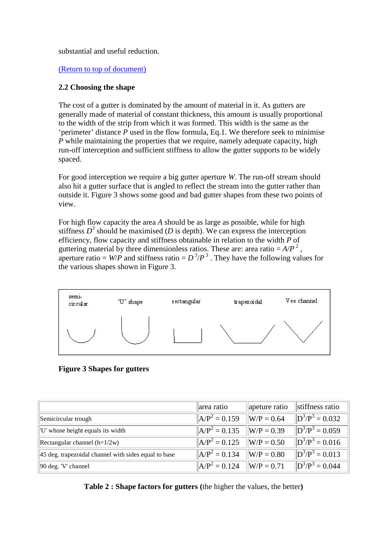substantial and useful reduction.

[\(Return to top of document\)](#page-3-0)

#### **2.2 Choosing the shape**

The cost of a gutter is dominated by the amount of material in it. As gutters are generally made of material of constant thickness, this amount is usually proportional to the width of the strip from which it was formed. This width is the same as the 'perimeter' distance *P* used in the flow formula, Eq.1. We therefore seek to minimise *P* while maintaining the properties that we require, namely adequate capacity, high run-off interception and sufficient stiffness to allow the gutter supports to be widely spaced.

For good interception we require a big gutter aperture *W*. The run-off stream should also hit a gutter surface that is angled to reflect the stream into the gutter rather than outside it. Figure 3 shows some good and bad gutter shapes from these two points of view.

For high flow capacity the area *A* should be as large as possible, while for high stiffness  $D^3$  should be maximised (*D* is depth). We can express the interception efficiency, flow capacity and stiffness obtainable in relation to the width *P* of guttering material by three dimensionless ratios. These are: area ratio  $= A/P^2$ , aperture ratio =  $W/P$  and stiffness ratio =  $D^3/P^3$ . They have the following values for the various shapes shown in Figure 3.

<span id="page-8-0"></span>

**Figure 3 Shapes for gutters**

<span id="page-8-1"></span>

|                                                              | area ratio                        | apeture ratio                  | stiffness ratio                     |
|--------------------------------------------------------------|-----------------------------------|--------------------------------|-------------------------------------|
| Semicircular trough                                          | $\mathbf{A} \mathbf{P}^2 = 0.159$ | $\angle W/P = 0.64$            | $\mathbb{D}^3/\mathbb{P}^3 = 0.032$ |
| "U" whose height equals its width                            | $ AP^2 = 0.135$                   | $\angle W/P = 0.39$            | $\mathbb{D}^3/\mathbb{P}^3 = 0.059$ |
| Rectangular channel $(h=1/2w)$                               | $ AP^2 = 0.125$                   | $\angle W/P = 0.50$            | $\mathbb{D}^3/\mathbb{P}^3 = 0.016$ |
| $\vert$ 45 deg. trapezoidal channel with sides equal to base | $ AP^2 = 0.134$                   | $\angle W/P = 0.80$            | $\mathbb{D}^3/\mathbb{P}^3 = 0.013$ |
| $\left\vert 90 \right\rangle$ deg. 'V' channel               | $ AP^2 = 0.124$                   | $\vert \vert W/P = 0.71 \vert$ | $\mathbb{D}^3/\mathbb{P}^3 = 0.044$ |

**Table 2 : Shape factors for gutters (**the higher the values, the better**)**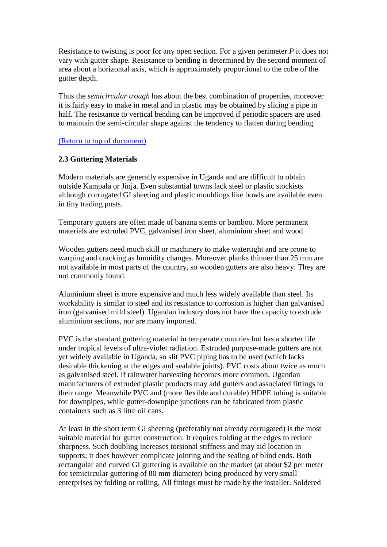Resistance to twisting is poor for any open section. For a given perimeter *P* it does not vary with gutter shape. Resistance to bending is determined by the second moment of area about a horizontal axis, which is approximately proportional to the cube of the gutter depth.

Thus the *semicircular trough* has about the best combination of properties, moreover it is fairly easy to make in metal and in plastic may be obtained by slicing a pipe in half. The resistance to vertical bending can be improved if periodic spacers are used to maintain the semi-circular shape against the tendency to flatten during bending.

#### [\(Return to top of document\)](#page-3-0)

#### **2.3 Guttering Materials**

Modern materials are generally expensive in Uganda and are difficult to obtain outside Kampala or Jinja. Even substantial towns lack steel or plastic stockists although corrugated GI sheeting and plastic mouldings like bowls are available even in tiny trading posts.

Temporary gutters are often made of banana stems or bamboo. More permanent materials are extruded PVC, galvanised iron sheet, aluminium sheet and wood.

Wooden gutters need much skill or machinery to make watertight and are prone to warping and cracking as humidity changes. Moreover planks thinner than 25 mm are not available in most parts of the country, so wooden gutters are also heavy. They are not commonly found.

Aluminium sheet is more expensive and much less widely available than steel. Its workability is similar to steel and its resistance to corrosion is higher than galvanised iron (galvanised mild steel). Ugandan industry does not have the capacity to extrude aluminium sections, nor are many imported.

PVC is the standard guttering material in temperate countries but has a shorter life under tropical levels of ultra-violet radiation. Extruded purpose-made gutters are not yet widely available in Uganda, so slit PVC piping has to be used (which lacks desirable thickening at the edges and sealable joints). PVC costs about twice as much as galvanised steel. If rainwater harvesting becomes more common, Ugandan manufacturers of extruded plastic products may add gutters and associated fittings to their range. Meanwhile PVC and (more flexible and durable) HDPE tubing is suitable for downpipes, while gutter-downpipe junctions can be fabricated from plastic containers such as 3 litre oil cans.

At least in the short term GI sheeting (preferably not already corrugated) is the most suitable material for gutter construction. It requires folding at the edges to reduce sharpness. Such doubling increases torsional stiffness and may aid location in supports; it does however complicate jointing and the sealing of blind ends. Both rectangular and curved GI guttering is available on the market (at about \$2 per meter for semicircular guttering of 80 mm diameter) being produced by very small enterprises by folding or rolling. All fittings must be made by the installer. Soldered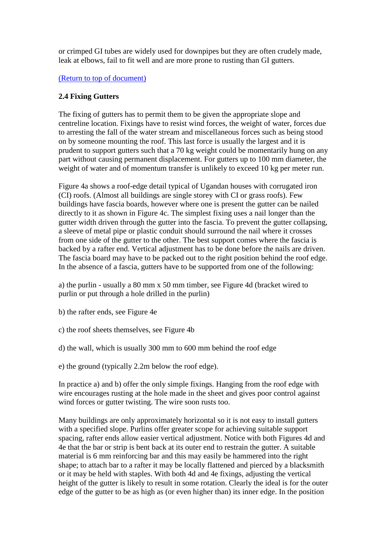or crimped GI tubes are widely used for downpipes but they are often crudely made, leak at elbows, fail to fit well and are more prone to rusting than GI gutters.

#### [\(Return to top of document\)](#page-3-0)

#### **2.4 Fixing Gutters**

The fixing of gutters has to permit them to be given the appropriate slope and centreline location. Fixings have to resist wind forces, the weight of water, forces due to arresting the fall of the water stream and miscellaneous forces such as being stood on by someone mounting the roof. This last force is usually the largest and it is prudent to support gutters such that a 70 kg weight could be momentarily hung on any part without causing permanent displacement. For gutters up to 100 mm diameter, the weight of water and of momentum transfer is unlikely to exceed 10 kg per meter run.

Figure 4a shows a roof-edge detail typical of Ugandan houses with corrugated iron (CI) roofs. (Almost all buildings are single storey with CI or grass roofs). Few buildings have fascia boards, however where one is present the gutter can be nailed directly to it as shown in Figure 4c. The simplest fixing uses a nail longer than the gutter width driven through the gutter into the fascia. To prevent the gutter collapsing, a sleeve of metal pipe or plastic conduit should surround the nail where it crosses from one side of the gutter to the other. The best support comes where the fascia is backed by a rafter end. Vertical adjustment has to be done before the nails are driven. The fascia board may have to be packed out to the right position behind the roof edge. In the absence of a fascia, gutters have to be supported from one of the following:

a) the purlin - usually a 80 mm x 50 mm timber, see Figure 4d (bracket wired to purlin or put through a hole drilled in the purlin)

b) the rafter ends, see Figure 4e

- c) the roof sheets themselves, see Figure 4b
- d) the wall, which is usually 300 mm to 600 mm behind the roof edge
- e) the ground (typically 2.2m below the roof edge).

In practice a) and b) offer the only simple fixings. Hanging from the roof edge with wire encourages rusting at the hole made in the sheet and gives poor control against wind forces or gutter twisting. The wire soon rusts too.

Many buildings are only approximately horizontal so it is not easy to install gutters with a specified slope. Purlins offer greater scope for achieving suitable support spacing, rafter ends allow easier vertical adjustment. Notice with both Figures 4d and 4e that the bar or strip is bent back at its outer end to restrain the gutter. A suitable material is 6 mm reinforcing bar and this may easily be hammered into the right shape; to attach bar to a rafter it may be locally flattened and pierced by a blacksmith or it may be held with staples. With both 4d and 4e fixings, adjusting the vertical height of the gutter is likely to result in some rotation. Clearly the ideal is for the outer edge of the gutter to be as high as (or even higher than) its inner edge. In the position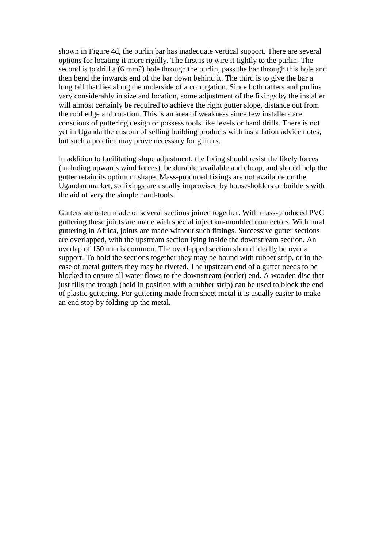shown in Figure 4d, the purlin bar has inadequate vertical support. There are several options for locating it more rigidly. The first is to wire it tightly to the purlin. The second is to drill a (6 mm?) hole through the purlin, pass the bar through this hole and then bend the inwards end of the bar down behind it. The third is to give the bar a long tail that lies along the underside of a corrugation. Since both rafters and purlins vary considerably in size and location, some adjustment of the fixings by the installer will almost certainly be required to achieve the right gutter slope, distance out from the roof edge and rotation. This is an area of weakness since few installers are conscious of guttering design or possess tools like levels or hand drills. There is not yet in Uganda the custom of selling building products with installation advice notes, but such a practice may prove necessary for gutters.

In addition to facilitating slope adjustment, the fixing should resist the likely forces (including upwards wind forces), be durable, available and cheap, and should help the gutter retain its optimum shape. Mass-produced fixings are not available on the Ugandan market, so fixings are usually improvised by house-holders or builders with the aid of very the simple hand-tools.

Gutters are often made of several sections joined together. With mass-produced PVC guttering these joints are made with special injection-moulded connectors. With rural guttering in Africa, joints are made without such fittings. Successive gutter sections are overlapped, with the upstream section lying inside the downstream section. An overlap of 150 mm is common. The overlapped section should ideally be over a support. To hold the sections together they may be bound with rubber strip, or in the case of metal gutters they may be riveted. The upstream end of a gutter needs to be blocked to ensure all water flows to the downstream (outlet) end. A wooden disc that just fills the trough (held in position with a rubber strip) can be used to block the end of plastic guttering. For guttering made from sheet metal it is usually easier to make an end stop by folding up the metal.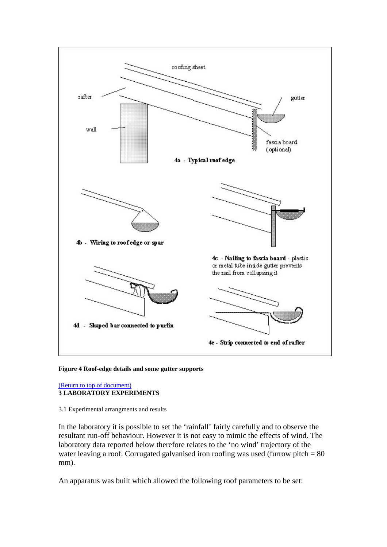<span id="page-12-1"></span>

**Figure 4 Roof-edge details and some gutter supports**

#### <span id="page-12-0"></span>[\(Return to top of document\)](#page-3-0) **3 LABORATORY EXPERIMENTS**

#### 3.1 Experimental arrangments and results

In the laboratory it is possible to set the 'rainfall' fairly carefully and to observe the resultant run-off behaviour. However it is not easy to mimic the effects of wind. The laboratory data reported below therefore relates to the 'no wind' trajectory of the water leaving a roof. Corrugated galvanised iron roofing was used (furrow pitch = 80 mm).

An apparatus was built which allowed the following roof parameters to be set: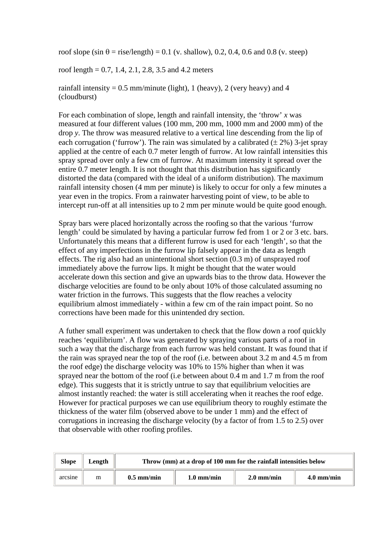roof slope (sin  $\theta$  = rise/length) = 0.1 (v. shallow), 0.2, 0.4, 0.6 and 0.8 (v. steep)

roof length =  $0.7$ , 1.4, 2.1, 2.8, 3.5 and 4.2 meters

rainfall intensity =  $0.5$  mm/minute (light), 1 (heavy), 2 (very heavy) and 4 (cloudburst)

For each combination of slope, length and rainfall intensity, the 'throw' *x* was measured at four different values (100 mm, 200 mm, 1000 mm and 2000 mm) of the drop *y*. The throw was measured relative to a vertical line descending from the lip of each corrugation ('furrow'). The rain was simulated by a calibrated  $(\pm 2\%)$  3-jet spray applied at the centre of each 0.7 meter length of furrow. At low rainfall intensities this spray spread over only a few cm of furrow. At maximum intensity it spread over the entire 0.7 meter length. It is not thought that this distribution has significantly distorted the data (compared with the ideal of a uniform distribution). The maximum rainfall intensity chosen (4 mm per minute) is likely to occur for only a few minutes a year even in the tropics. From a rainwater harvesting point of view, to be able to intercept run-off at all intensities up to 2 mm per minute would be quite good enough.

Spray bars were placed horizontally across the roofing so that the various 'furrow length' could be simulated by having a particular furrow fed from 1 or 2 or 3 etc. bars. Unfortunately this means that a different furrow is used for each 'length', so that the effect of any imperfections in the furrow lip falsely appear in the data as length effects. The rig also had an unintentional short section (0.3 m) of unsprayed roof immediately above the furrow lips. It might be thought that the water would accelerate down this section and give an upwards bias to the throw data. However the discharge velocities are found to be only about 10% of those calculated assuming no water friction in the furrows. This suggests that the flow reaches a velocity equilibrium almost immediately - within a few cm of the rain impact point. So no corrections have been made for this unintended dry section.

A futher small experiment was undertaken to check that the flow down a roof quickly reaches 'equilibrium'. A flow was generated by spraying various parts of a roof in such a way that the discharge from each furrow was held constant. It was found that if the rain was sprayed near the top of the roof (i.e. between about 3.2 m and 4.5 m from the roof edge) the discharge velocity was 10% to 15% higher than when it was sprayed near the bottom of the roof (i.e between about 0.4 m and 1.7 m from the roof edge). This suggests that it is strictly untrue to say that equilibrium velocities are almost instantly reached: the water is still accelerating when it reaches the roof edge. However for practical purposes we can use equilibrium theory to roughly estimate the thickness of the water film (observed above to be under 1 mm) and the effect of corrugations in increasing the discharge velocity (by a factor of from 1.5 to 2.5) over that observable with other roofing profiles.

<span id="page-13-0"></span>

| <b>Slope</b> | Length |              | Throw (mm) at a drop of 100 mm for the rainfall intensities below |                      |                      |  |  |  |  |  |  |
|--------------|--------|--------------|-------------------------------------------------------------------|----------------------|----------------------|--|--|--|--|--|--|
| arcsine      | m      | $0.5$ mm/min | $1.0 \text{ mm/min}$                                              | $2.0 \text{ mm/min}$ | $4.0 \text{ mm/min}$ |  |  |  |  |  |  |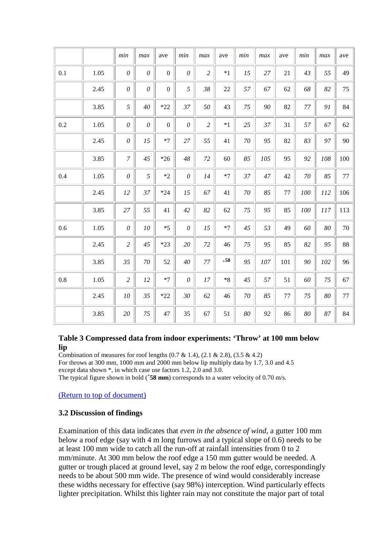|     |      | min              | max      | ave              | min          | max            | ave        | min    | max | ave     | min | max    | ave     |
|-----|------|------------------|----------|------------------|--------------|----------------|------------|--------|-----|---------|-----|--------|---------|
| 0.1 | 1.05 | $\theta$         | $\theta$ | $\boldsymbol{0}$ | $\theta$     | $\overline{c}$ | $*1$       | 15     | 27  | 21      | 43  | 55     | 49      |
|     | 2.45 | $\theta$         | $\theta$ | $\boldsymbol{0}$ | 5            | 38             | 22         | 57     | 67  | 62      | 68  | 82     | 75      |
|     | 3.85 | 5                | 40       | $*22$            | 37           | 50             | 43         | 75     | 90  | 82      | 77  | 91     | 84      |
| 0.2 | 1.05 | $\theta$         | $\theta$ | $\mathbf{0}$     | $\theta$     | $\overline{c}$ | $*1$       | 25     | 37  | 31      | 57  | 67     | 62      |
|     | 2.45 | $\theta$         | 15       | $*7$             | 27           | 55             | 41         | $70\,$ | 95  | 82      | 83  | 97     | 90      |
|     | 3.85 | $\boldsymbol{7}$ | 45       | $*26$            | 48           | 72             | 60         | 85     | 105 | 95      | 92  | 108    | 100     |
| 0.4 | 1.05 | $\theta$         | 5        | $*2$             | $\mathcal O$ | 14             | $*7$       | 37     | 47  | 42      | 70  | 85     | 77      |
|     | 2.45 | 12               | 37       | $*24$            | 15           | 67             | 41         | $70\,$ | 85  | 77      | 100 | 112    | 106     |
|     | 3.85 | $27\,$           | 55       | 41               | 42           | 82             | 62         | $75\,$ | 95  | 85      | 100 | 117    | 113     |
| 0.6 | 1.05 | $\theta$         | 10       | $*5$             | $\theta$     | 15             | $*7$       | 45     | 53  | 49      | 60  | 80     | 70      |
|     | 2.45 | $\overline{c}$   | 45       | $*23$            | 20           | 72             | 46         | 75     | 95  | 85      | 82  | 95     | 88      |
|     | 3.85 | 35               | 70       | 52               | 40           | 77             | $\bf{+58}$ | 95     | 107 | 101     | 90  | 102    | 96      |
| 0.8 | 1.05 | $\overline{c}$   | 12       | $*7$             | $\theta$     | 17             | $*8$       | 45     | 57  | 51      | 60  | 75     | 67      |
|     | 2.45 | ${\it 10}$       | 35       | $*22$            | 30           | 62             | 46         | $70\,$ | 85  | $77 \,$ | 75  | $80\,$ | $77 \,$ |
|     | 3.85 | 20               | 75       | 47               | 35           | 67             | 51         | 80     | 92  | 86      | 80  | 87     | 84      |

#### **Table 3 Compressed data from indoor experiments: 'Throw' at 100 mm below lip**

Combination of measures for roof lengths  $(0.7 \& 1.4)$ ,  $(2.1 \& 2.8)$ ,  $(3.5 \& 4.2)$ For throws at 300 mm, 1000 mm and 2000 mm below lip multiply data by 1.7, 3.0 and 4.5 except data shown  $*$ , in which case use factors 1.2, 2.0 and 3.0. The typical figure shown in bold (**<sup>+</sup> 58 mm**) corresponds to a water velocity of 0.70 m/s.

[\(Return to top of document\)](#page-3-0)

#### **3.2 Discussion of findings**

Examination of this data indicates that *even in the absence of wind*, a gutter 100 mm below a roof edge (say with 4 m long furrows and a typical slope of 0.6) needs to be at least 100 mm wide to catch all the run-off at rainfall intensities from 0 to 2 mm/minute. At 300 mm below the roof edge a 150 mm gutter would be needed. A gutter or trough placed at ground level, say 2 m below the roof edge, correspondingly needs to be about 500 mm wide. The presence of wind would considerably increase these widths necessary for effective (say 98%) interception. Wind particularly effects lighter precipitation. Whilst this lighter rain may not constitute the major part of total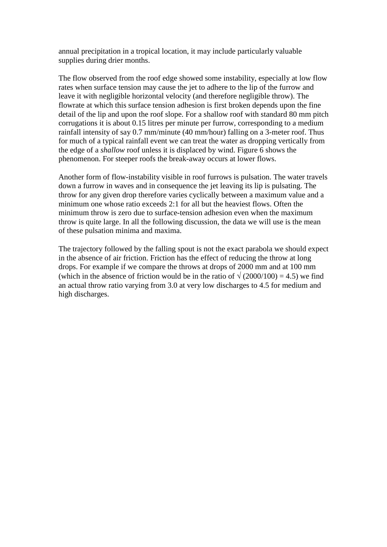annual precipitation in a tropical location, it may include particularly valuable supplies during drier months.

The flow observed from the roof edge showed some instability, especially at low flow rates when surface tension may cause the jet to adhere to the lip of the furrow and leave it with negligible horizontal velocity (and therefore negligible throw). The flowrate at which this surface tension adhesion is first broken depends upon the fine detail of the lip and upon the roof slope. For a shallow roof with standard 80 mm pitch corrugations it is about 0.15 litres per minute per furrow, corresponding to a medium rainfall intensity of say 0.7 mm/minute (40 mm/hour) falling on a 3-meter roof. Thus for much of a typical rainfall event we can treat the water as dropping vertically from the edge of a *shallow* roof unless it is displaced by wind. Figure 6 shows the phenomenon. For steeper roofs the break-away occurs at lower flows.

Another form of flow-instability visible in roof furrows is pulsation. The water travels down a furrow in waves and in consequence the jet leaving its lip is pulsating. The throw for any given drop therefore varies cyclically between a maximum value and a minimum one whose ratio exceeds 2:1 for all but the heaviest flows. Often the minimum throw is zero due to surface-tension adhesion even when the maximum throw is quite large. In all the following discussion, the data we will use is the mean of these pulsation minima and maxima.

The trajectory followed by the falling spout is not the exact parabola we should expect in the absence of air friction. Friction has the effect of reducing the throw at long drops. For example if we compare the throws at drops of 2000 mm and at 100 mm (which in the absence of friction would be in the ratio of  $\sqrt{(2000/100)} = 4.5$ ) we find an actual throw ratio varying from 3.0 at very low discharges to 4.5 for medium and high discharges.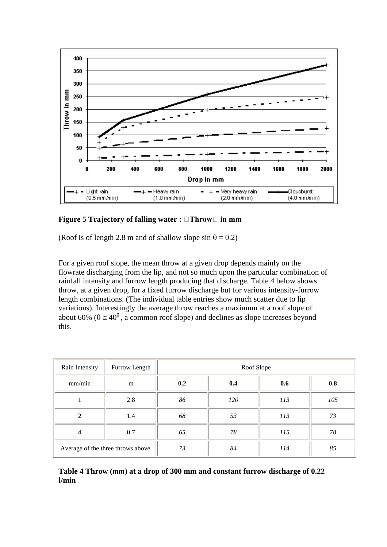<span id="page-16-0"></span>

**Figure 5 Trajectory of falling water : Throw in mm**

(Roof is of length 2.8 m and of shallow slope  $\sin \theta = 0.2$ )

For a given roof slope, the mean throw at a given drop depends mainly on the flowrate discharging from the lip, and not so much upon the particular combination of rainfall intensity and furrow length producing that discharge. Table 4 below shows throw, at a given drop, for a fixed furrow discharge but for various intensity-furrow length combinations. (The individual table entries show much scatter due to lip variations). Interestingly the average throw reaches a maximum at a roof slope of about 60% ( $\theta \approx 40^{\circ}$ , a common roof slope) and declines as slope increases beyond this.

<span id="page-16-1"></span>

| Rain Intensity | Furrow Length                     | Roof Slope |     |     |     |  |  |  |  |  |
|----------------|-----------------------------------|------------|-----|-----|-----|--|--|--|--|--|
| mm/min         | m                                 | 0.2        | 0.4 | 0.6 | 0.8 |  |  |  |  |  |
|                | 2.8                               | 86         | 120 | 113 | 105 |  |  |  |  |  |
| 2              | 1.4                               | 68         | 53  | 113 | 73  |  |  |  |  |  |
| $\overline{4}$ | 0.7                               | 65         | 78  | 115 | 78  |  |  |  |  |  |
|                | Average of the three throws above | 73         | 84  | 114 | 85  |  |  |  |  |  |

**Table 4 Throw (***mm***) at a drop of 300 mm and constant furrow discharge of 0.22 l/min**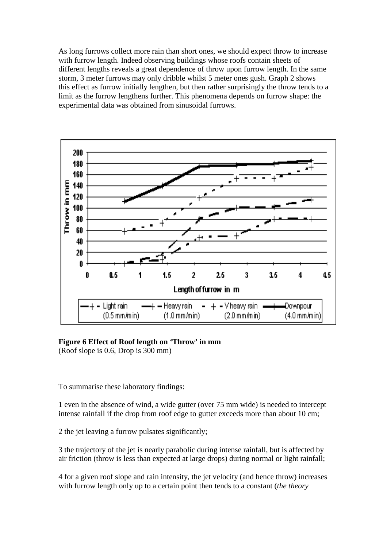As long furrows collect more rain than short ones, we should expect throw to increase with furrow length. Indeed observing buildings whose roofs contain sheets of different lengths reveals a great dependence of throw upon furrow length. In the same storm, 3 meter furrows may only dribble whilst 5 meter ones gush. Graph 2 shows this effect as furrow initially lengthen, but then rather surprisingly the throw tends to a limit as the furrow lengthens further. This phenomena depends on furrow shape: the experimental data was obtained from sinusoidal furrows.

<span id="page-17-0"></span>

**Figure 6 Effect of Roof length on 'Throw' in mm** (Roof slope is 0.6, Drop is 300 mm)

To summarise these laboratory findings:

1 even in the absence of wind, a wide gutter (over 75 mm wide) is needed to intercept intense rainfall if the drop from roof edge to gutter exceeds more than about 10 cm;

2 the jet leaving a furrow pulsates significantly;

3 the trajectory of the jet is nearly parabolic during intense rainfall, but is affected by air friction (throw is less than expected at large drops) during normal or light rainfall;

4 for a given roof slope and rain intensity, the jet velocity (and hence throw) increases with furrow length only up to a certain point then tends to a constant (*the theory*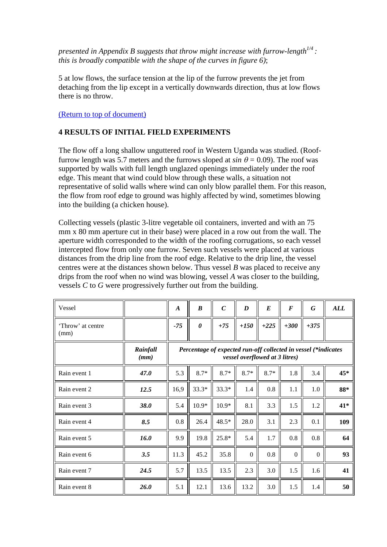*presented in Appendix B suggests that throw might increase with furrow-length1/4 : this is broadly compatible with the shape of the curves in figure 6)*;

5 at low flows, the surface tension at the lip of the furrow prevents the jet from detaching from the lip except in a vertically downwards direction, thus at low flows there is no throw.

#### [\(Return to top of document\)](#page-0-0)

#### <span id="page-18-0"></span>**4 RESULTS OF INITIAL FIELD EXPERIMENTS**

The flow off a long shallow unguttered roof in Western Uganda was studied. (Rooffurrow length was 5.7 meters and the furrows sloped at  $sin \theta = 0.09$ . The roof was supported by walls with full length unglazed openings immediately under the roof edge. This meant that wind could blow through these walls, a situation not representative of solid walls where wind can only blow parallel them. For this reason, the flow from roof edge to ground was highly affected by wind, sometimes blowing into the building (a chicken house).

Collecting vessels (plastic 3-litre vegetable oil containers, inverted and with an 75 mm x 80 mm aperture cut in their base) were placed in a row out from the wall. The aperture width corresponded to the width of the roofing corrugations, so each vessel intercepted flow from only one furrow. Seven such vessels were placed at various distances from the drip line from the roof edge. Relative to the drip line, the vessel centres were at the distances shown below. Thus vessel *B* was placed to receive any drips from the roof when no wind was blowing, vessel *A* was closer to the building, vessels *C* to *G* were progressively further out from the building.

<span id="page-18-1"></span>

| Vessel                    |                  | $\boldsymbol{A}$ | $\boldsymbol{B}$      | $\mathcal C$                                                   | $\boldsymbol{D}$ | $\boldsymbol{E}$               | $\boldsymbol{F}$ | G        | ALL |
|---------------------------|------------------|------------------|-----------------------|----------------------------------------------------------------|------------------|--------------------------------|------------------|----------|-----|
| 'Throw' at centre<br>(mm) |                  | $-75$            | $\boldsymbol{\theta}$ | $+75$                                                          | $+150$           | $+225$                         | $+300$           | $+375$   |     |
|                           | Rainfall<br>(mm) |                  |                       | Percentage of expected run-off collected in vessel (*indicates |                  | vessel overflowed at 3 litres) |                  |          |     |
| Rain event 1              | 47.0             | 5.3              | $8.7*$                | $8.7*$                                                         | $8.7*$           | $8.7*$                         | 1.8              | 3.4      | 45* |
| Rain event 2              | 12.5             | 16,9             | 33.3*                 | $33.3*$                                                        | 1.4              | 0.8                            | 1.1              | 1.0      | 88* |
| Rain event 3              | <b>38.0</b>      | 5.4              | $10.9*$               | $10.9*$                                                        | 8.1              | 3.3                            | 1.5              | 1.2      | 41* |
| Rain event 4              | 8.5              | 0.8              | 26.4                  | 48.5*                                                          | 28.0             | 3.1                            | 2.3              | 0.1      | 109 |
| Rain event 5              | 16.0             | 9.9              | 19.8                  | 25.8*                                                          | 5.4              | 1.7                            | 0.8              | 0.8      | 64  |
| Rain event 6              | 3.5              | 11.3             | 45.2                  | 35.8                                                           | $\mathbf{0}$     | 0.8                            | $\boldsymbol{0}$ | $\Omega$ | 93  |
| Rain event 7              | 24.5             | 5.7              | 13.5                  | 13.5                                                           | 2.3              | 3.0                            | 1.5              | 1.6      | 41  |
| Rain event 8              | 26.0             | 5.1              | 12.1                  | 13.6                                                           | 13.2             | 3.0                            | 1.5              | 1.4      | 50  |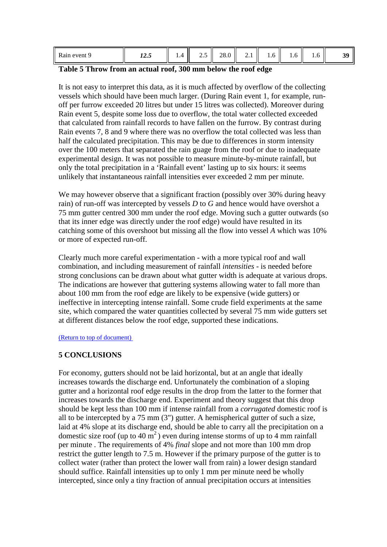| event<br><b>Rain</b><br>◡ | $\cdots$<br>14.9 | . . | -<br>ر… | 28.0 | $\overline{a}$ | 1. J | 1.U | 1.0 |  |
|---------------------------|------------------|-----|---------|------|----------------|------|-----|-----|--|
|---------------------------|------------------|-----|---------|------|----------------|------|-----|-----|--|

#### **Table 5 Throw from an actual roof, 300 mm below the roof edge**

It is not easy to interpret this data, as it is much affected by overflow of the collecting vessels which should have been much larger. (During Rain event 1, for example, runoff per furrow exceeded 20 litres but under 15 litres was collected). Moreover during Rain event 5, despite some loss due to overflow*,* the total water collected exceeded that calculated from rainfall records to have fallen on the furrow. By contrast during Rain events 7, 8 and 9 where there was no overflow the total collected was less than half the calculated precipitation. This may be due to differences in storm intensity over the 100 meters that separated the rain guage from the roof or due to inadequate experimental design. It was not possible to measure minute-by-minute rainfall, but only the total precipitation in a 'Rainfall event' lasting up to six hours: it seems unlikely that instantaneous rainfall intensities ever exceeded 2 mm per minute.

We may however observe that a significant fraction (possibly over 30% during heavy rain) of run-off was intercepted by vessels *D* to *G* and hence would have overshot a 75 mm gutter centred 300 mm under the roof edge. Moving such a gutter outwards (so that its inner edge was directly under the roof edge) would have resulted in its catching some of this overshoot but missing all the flow into vessel *A* which was 10% or more of expected run-off.

Clearly much more careful experimentation - with a more typical roof and wall combination, and including measurement of rainfall *intensities* - is needed before strong conclusions can be drawn about what gutter width is adequate at various drops. The indications are however that guttering systems allowing water to fall more than about 100 mm from the roof edge are likely to be expensive (wide gutters) or ineffective in intercepting intense rainfall. Some crude field experiments at the same site, which compared the water quantities collected by several 75 mm wide gutters set at different distances below the roof edge, supported these indications.

#### (Return to top of document)

#### <span id="page-19-0"></span>**5 CONCLUSIONS**

For economy, gutters should not be laid horizontal, but at an angle that ideally increases towards the discharge end. Unfortunately the combination of a sloping gutter and a horizontal roof edge results in the drop from the latter to the former that increases towards the discharge end. Experiment and theory suggest that this drop should be kept less than 100 mm if intense rainfall from a *corrugated* domestic roof is all to be intercepted by a 75 mm (3") gutter. A hemispherical gutter of such a size, laid at 4% slope at its discharge end, should be able to carry all the precipitation on a domestic size roof (up to 40  $\text{m}^2$ ) even during intense storms of up to 4 mm rainfall per minute . The requirements of 4% *final* slope and not more than 100 mm drop restrict the gutter length to 7.5 m. However if the primary purpose of the gutter is to collect water (rather than protect the lower wall from rain) a lower design standard should suffice. Rainfall intensities up to only 1 mm per minute need be wholly intercepted, since only a tiny fraction of annual precipitation occurs at intensities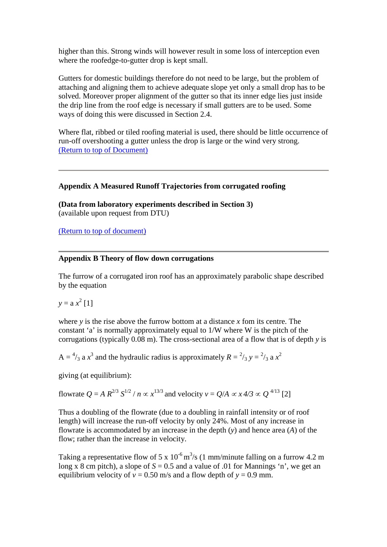higher than this. Strong winds will however result in some loss of interception even where the roofedge-to-gutter drop is kept small.

Gutters for domestic buildings therefore do not need to be large, but the problem of attaching and aligning them to achieve adequate slope yet only a small drop has to be solved. Moreover proper alignment of the gutter so that its inner edge lies just inside the drip line from the roof edge is necessary if small gutters are to be used. Some ways of doing this were discussed in Section 2.4.

Where flat, ribbed or tiled roofing material is used, there should be little occurrence of run-off overshooting a gutter unless the drop is large or the wind very strong. (Return to top of Document)

#### **Appendix A Measured Runoff Trajectories from corrugated roofing**

**(Data from laboratory experiments described in Section 3)** (available upon request from DTU)

(Return to top of document)

#### **Appendix B Theory of flow down corrugations**

The furrow of a corrugated iron roof has an approximately parabolic shape described by the equation

 $y = a x^2 [1]$ 

where *y* is the rise above the furrow bottom at a distance *x* fom its centre. The constant 'a' is normally approximately equal to 1/W where W is the pitch of the corrugations (typically 0.08 m). The cross-sectional area of a flow that is of depth *y* is

 $A = \frac{4}{3}$  a  $x^3$  and the hydraulic radius is approximately  $R = \frac{2}{3}$   $y = \frac{2}{3}$  a  $x^2$ 

giving (at equilibrium):

flowrate  $Q = A R^{2/3} S^{1/2} / n \propto x^{13/3}$  and velocity  $v = Q/A \propto x/3 \propto Q^{4/13}$  [2]

Thus a doubling of the flowrate (due to a doubling in rainfall intensity or of roof length) will increase the run-off velocity by only 24%. Most of any increase in flowrate is accommodated by an increase in the depth (*y*) and hence area (*A*) of the flow; rather than the increase in velocity.

Taking a representative flow of 5 x  $10^{-6}$  m<sup>3</sup>/s (1 mm/minute falling on a furrow 4.2 m long x 8 cm pitch), a slope of  $S = 0.5$  and a value of 0.01 for Mannings 'n', we get an equilibrium velocity of  $v = 0.50$  m/s and a flow depth of  $y = 0.9$  mm.